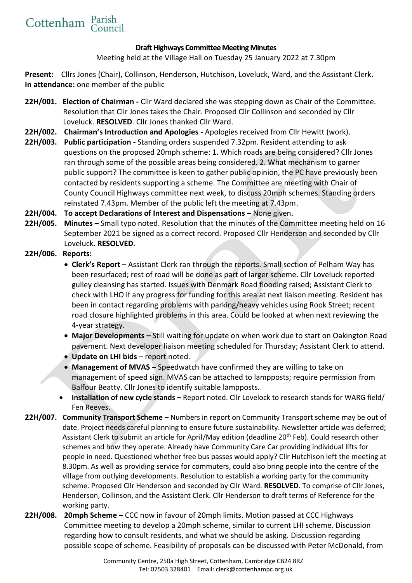## **Draft Highways Committee Meeting Minutes**

Meeting held at the Village Hall on Tuesday 25 January 2022 at 7.30pm

Present: Cllrs Jones (Chair), Collinson, Henderson, Hutchison, Loveluck, Ward, and the Assistant Clerk. **In attendance:** one member of the public

- **22H/001. Election of Chairman -** Cllr Ward declared she was stepping down as Chair of the Committee. Resolution that Cllr Jones takes the Chair. Proposed Cllr Collinson and seconded by Cllr Loveluck. **RESOLVED**. Cllr Jones thanked Cllr Ward.
- **22H/002. Chairman's Introduction and Apologies -** Apologies received from Cllr Hewitt (work).
- **22H/003. Public participation -** Standing orders suspended 7.32pm. Resident attending to ask questions on the proposed 20mph scheme: 1. Which roads are being considered? Cllr Jones ran through some of the possible areas being considered. 2. What mechanism to garner public support? The committee is keen to gather public opinion, the PC have previously been contacted by residents supporting a scheme. The Committee are meeting with Chair of County Council Highways committee next week, to discuss 20mph schemes. Standing orders reinstated 7.43pm. Member of the public left the meeting at 7.43pm.
- **22H/004. To accept Declarations of Interest and Dispensations –** None given.
- **22H/005. Minutes –** Small typo noted. Resolution that the minutes of the Committee meeting held on 16 September 2021 be signed as a correct record. Proposed Cllr Henderson and seconded by Cllr Loveluck. **RESOLVED**.

## **22H/006. Reports:**

- **Clerk's Report** Assistant Clerk ran through the reports. Small section of Pelham Way has been resurfaced; rest of road will be done as part of larger scheme. Cllr Loveluck reported gulley cleansing has started. Issues with Denmark Road flooding raised; Assistant Clerk to check with LHO if any progress for funding for this area at next liaison meeting. Resident has been in contact regarding problems with parking/heavy vehicles using Rook Street; recent road closure highlighted problems in this area. Could be looked at when next reviewing the 4-year strategy.
- **Major Developments –** Still waiting for update on when work due to start on Oakington Road pavement. Next developer liaison meeting scheduled for Thursday; Assistant Clerk to attend.
- **Update on LHI bids** report noted.
- **Management of MVAS** Speedwatch have confirmed they are willing to take on management of speed sign. MVAS can be attached to lampposts; require permission from Balfour Beatty. Cllr Jones to identify suitable lampposts.
- **Installation of new cycle stands –** Report noted. Cllr Lovelock to research stands for WARG field/ Fen Reeves.
- **22H/007. Community Transport Scheme –** Numbers in report on Community Transport scheme may be out of date. Project needs careful planning to ensure future sustainability. Newsletter article was deferred; Assistant Clerk to submit an article for April/May edition (deadline 20th Feb). Could research other schemes and how they operate. Already have Community Care Car providing individual lifts for people in need. Questioned whether free bus passes would apply? Cllr Hutchison left the meeting at 8.30pm. As well as providing service for commuters, could also bring people into the centre of the village from outlying developments. Resolution to establish a working party for the community scheme. Proposed Cllr Henderson and seconded by Cllr Ward. **RESOLVED**. To comprise of Cllr Jones, Henderson, Collinson, and the Assistant Clerk. Cllr Henderson to draft terms of Reference for the working party.
- **22H/008. 20mph Scheme –** CCC now in favour of 20mph limits. Motion passed at CCC Highways Committee meeting to develop a 20mph scheme, similar to current LHI scheme. Discussion regarding how to consult residents, and what we should be asking. Discussion regarding possible scope of scheme. Feasibility of proposals can be discussed with Peter McDonald, from